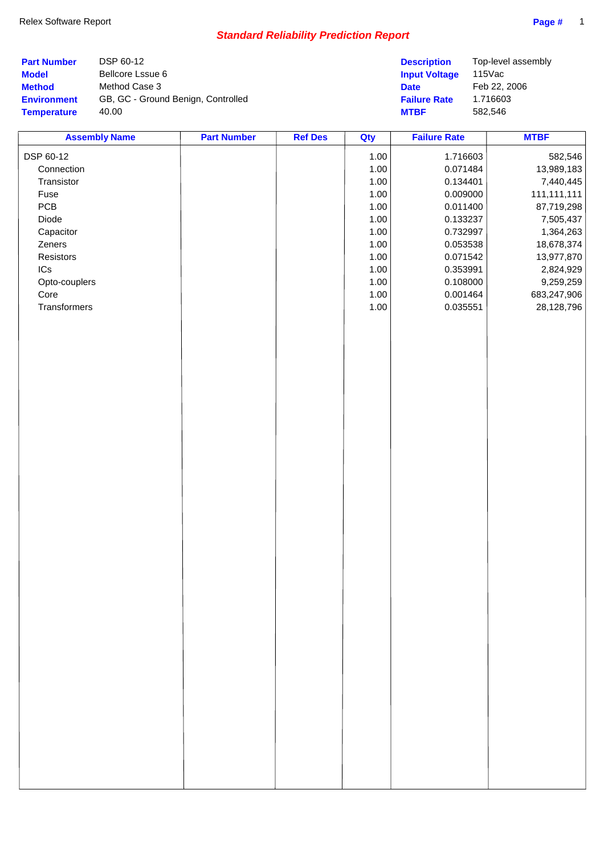| <b>Part Number</b> | DSP 60-12                          | <b>Description</b>   | Top-level assembly |
|--------------------|------------------------------------|----------------------|--------------------|
| <b>Model</b>       | Bellcore Lssue 6                   | <b>Input Voltage</b> | 115Vac             |
| <b>Method</b>      | Method Case 3                      | <b>Date</b>          | Feb 22, 2006       |
| <b>Environment</b> | GB, GC - Ground Benign, Controlled | <b>Failure Rate</b>  | 1.716603           |
| <b>Temperature</b> | 40.00                              | <b>MTBF</b>          | 582.546            |

| <b>Assembly Name</b> | <b>Part Number</b> | <b>Ref Des</b> | Qty      | <b>Failure Rate</b> | <b>MTBF</b> |
|----------------------|--------------------|----------------|----------|---------------------|-------------|
| DSP 60-12            |                    |                | 1.00     | 1.716603            | 582,546     |
| Connection           |                    |                | 1.00     | 0.071484            | 13,989,183  |
| Transistor           |                    |                | 1.00     | 0.134401            | 7,440,445   |
| Fuse                 |                    |                | 1.00     | 0.009000            | 111,111,111 |
| PCB                  |                    |                | 1.00     | 0.011400            | 87,719,298  |
| Diode                |                    |                | 1.00     | 0.133237            | 7,505,437   |
| Capacitor            |                    |                | 1.00     | 0.732997            | 1,364,263   |
| Zeners               |                    |                | 1.00     | 0.053538            | 18,678,374  |
| Resistors            |                    |                | 1.00     | 0.071542            | 13,977,870  |
| $ICs$                |                    |                | 1.00     | 0.353991            | 2,824,929   |
| Opto-couplers        |                    |                | 1.00     | 0.108000            | 9,259,259   |
| Core                 |                    |                | 1.00     | 0.001464            | 683,247,906 |
| Transformers         |                    |                | $1.00\,$ | 0.035551            | 28,128,796  |
|                      |                    |                |          |                     |             |
|                      |                    |                |          |                     |             |
|                      |                    |                |          |                     |             |
|                      |                    |                |          |                     |             |
|                      |                    |                |          |                     |             |
|                      |                    |                |          |                     |             |
|                      |                    |                |          |                     |             |
|                      |                    |                |          |                     |             |
|                      |                    |                |          |                     |             |
|                      |                    |                |          |                     |             |
|                      |                    |                |          |                     |             |
|                      |                    |                |          |                     |             |
|                      |                    |                |          |                     |             |
|                      |                    |                |          |                     |             |
|                      |                    |                |          |                     |             |
|                      |                    |                |          |                     |             |
|                      |                    |                |          |                     |             |
|                      |                    |                |          |                     |             |
|                      |                    |                |          |                     |             |
|                      |                    |                |          |                     |             |
|                      |                    |                |          |                     |             |
|                      |                    |                |          |                     |             |
|                      |                    |                |          |                     |             |
|                      |                    |                |          |                     |             |
|                      |                    |                |          |                     |             |
|                      |                    |                |          |                     |             |
|                      |                    |                |          |                     |             |
|                      |                    |                |          |                     |             |
|                      |                    |                |          |                     |             |
|                      |                    |                |          |                     |             |
|                      |                    |                |          |                     |             |
|                      |                    |                |          |                     |             |
|                      |                    |                |          |                     |             |
|                      |                    |                |          |                     |             |
|                      |                    |                |          |                     |             |
|                      |                    |                |          |                     |             |
|                      |                    |                |          |                     |             |
|                      |                    |                |          |                     |             |
|                      |                    |                |          |                     |             |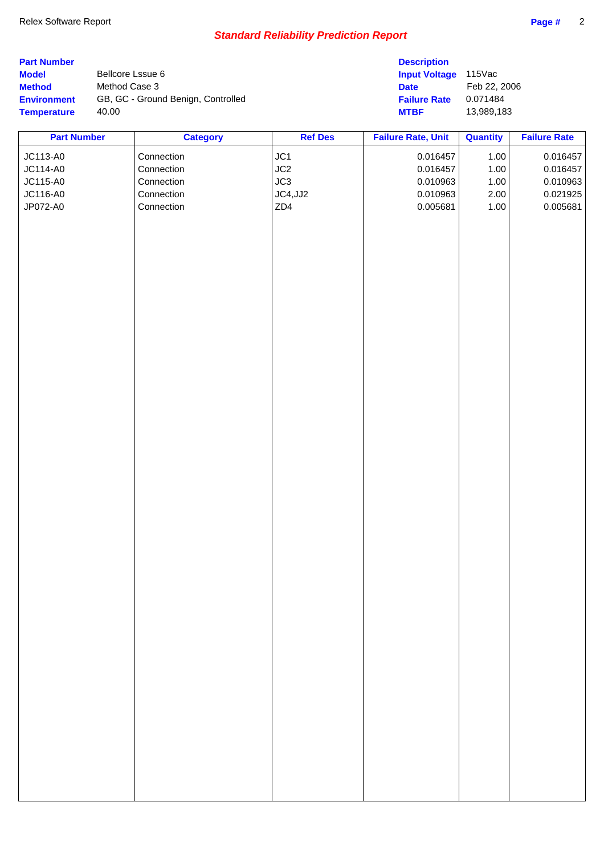| <b>Part Number</b><br><b>Model</b><br><b>Method</b><br><b>Environment</b><br><b>Temperature</b> | Bellcore Lssue 6<br>Method Case 3<br>40.00 | GB, GC - Ground Benign, Controlled |                | <b>Description</b><br><b>Input Voltage</b><br><b>Date</b><br><b>Failure Rate</b><br><b>MTBF</b> | 115Vac<br>Feb 22, 2006<br>0.071484<br>13,989,183 |                     |
|-------------------------------------------------------------------------------------------------|--------------------------------------------|------------------------------------|----------------|-------------------------------------------------------------------------------------------------|--------------------------------------------------|---------------------|
| <b>Part Number</b>                                                                              |                                            | <b>Category</b>                    | <b>Ref Des</b> | <b>Failure Rate, Unit</b>                                                                       | <b>Quantity</b>                                  | <b>Failure Rate</b> |
| JC113-A0                                                                                        |                                            | Connection                         | JC1            | 0.016457                                                                                        | 1.00                                             | 0.016457            |
| JC114-A0                                                                                        |                                            | Connection                         | JC2            | 0.016457                                                                                        | 1.00                                             | 0.016457            |
| JC115-A0                                                                                        |                                            | Connection                         | JC3            | 0.010963                                                                                        | 1.00                                             | 0.010963            |
| JC116-A0                                                                                        |                                            | Connection                         | JC4, JJ2       | 0.010963                                                                                        | 2.00                                             | 0.021925            |
| JP072-A0                                                                                        |                                            | Connection                         | ZD4            | 0.005681                                                                                        | 1.00                                             | 0.005681            |
|                                                                                                 |                                            |                                    |                |                                                                                                 |                                                  |                     |
|                                                                                                 |                                            |                                    |                |                                                                                                 |                                                  |                     |
|                                                                                                 |                                            |                                    |                |                                                                                                 |                                                  |                     |
|                                                                                                 |                                            |                                    |                |                                                                                                 |                                                  |                     |
|                                                                                                 |                                            |                                    |                |                                                                                                 |                                                  |                     |
|                                                                                                 |                                            |                                    |                |                                                                                                 |                                                  |                     |
|                                                                                                 |                                            |                                    |                |                                                                                                 |                                                  |                     |
|                                                                                                 |                                            |                                    |                |                                                                                                 |                                                  |                     |
|                                                                                                 |                                            |                                    |                |                                                                                                 |                                                  |                     |
|                                                                                                 |                                            |                                    |                |                                                                                                 |                                                  |                     |
|                                                                                                 |                                            |                                    |                |                                                                                                 |                                                  |                     |
|                                                                                                 |                                            |                                    |                |                                                                                                 |                                                  |                     |
|                                                                                                 |                                            |                                    |                |                                                                                                 |                                                  |                     |
|                                                                                                 |                                            |                                    |                |                                                                                                 |                                                  |                     |
|                                                                                                 |                                            |                                    |                |                                                                                                 |                                                  |                     |
|                                                                                                 |                                            |                                    |                |                                                                                                 |                                                  |                     |
|                                                                                                 |                                            |                                    |                |                                                                                                 |                                                  |                     |
|                                                                                                 |                                            |                                    |                |                                                                                                 |                                                  |                     |
|                                                                                                 |                                            |                                    |                |                                                                                                 |                                                  |                     |
|                                                                                                 |                                            |                                    |                |                                                                                                 |                                                  |                     |
|                                                                                                 |                                            |                                    |                |                                                                                                 |                                                  |                     |
|                                                                                                 |                                            |                                    |                |                                                                                                 |                                                  |                     |
|                                                                                                 |                                            |                                    |                |                                                                                                 |                                                  |                     |
|                                                                                                 |                                            |                                    |                |                                                                                                 |                                                  |                     |
|                                                                                                 |                                            |                                    |                |                                                                                                 |                                                  |                     |
|                                                                                                 |                                            |                                    |                |                                                                                                 |                                                  |                     |
|                                                                                                 |                                            |                                    |                |                                                                                                 |                                                  |                     |
|                                                                                                 |                                            |                                    |                |                                                                                                 |                                                  |                     |
|                                                                                                 |                                            |                                    |                |                                                                                                 |                                                  |                     |
|                                                                                                 |                                            |                                    |                |                                                                                                 |                                                  |                     |
|                                                                                                 |                                            |                                    |                |                                                                                                 |                                                  |                     |
|                                                                                                 |                                            |                                    |                |                                                                                                 |                                                  |                     |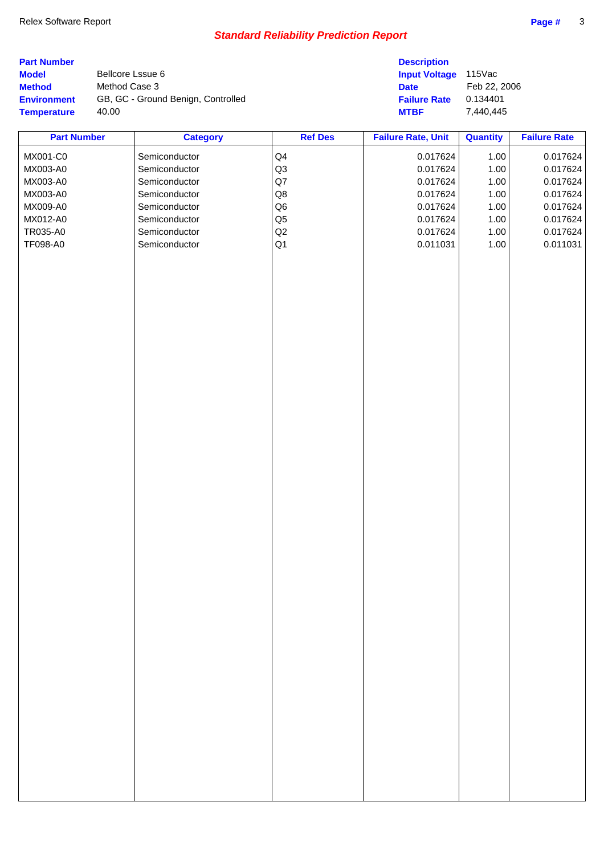| <b>Part Number</b><br><b>Model</b><br><b>Method</b><br><b>Environment</b><br><b>Temperature</b> | Bellcore Lssue 6<br>Method Case 3<br>40.00 | GB, GC - Ground Benign, Controlled                                                                                                                      |                                                                                                       | <b>Description</b><br><b>Input Voltage</b><br><b>Date</b><br><b>Failure Rate</b><br><b>MTBF</b> | 115Vac<br>Feb 22, 2006<br>0.134401<br>7,440,445              |                                                                                              |
|-------------------------------------------------------------------------------------------------|--------------------------------------------|---------------------------------------------------------------------------------------------------------------------------------------------------------|-------------------------------------------------------------------------------------------------------|-------------------------------------------------------------------------------------------------|--------------------------------------------------------------|----------------------------------------------------------------------------------------------|
| <b>Part Number</b>                                                                              |                                            |                                                                                                                                                         | <b>Ref Des</b>                                                                                        | <b>Failure Rate, Unit</b>                                                                       | <b>Quantity</b>                                              | <b>Failure Rate</b>                                                                          |
| MX001-C0<br>MX003-A0<br>MX003-A0<br>MX003-A0<br>MX009-A0<br>MX012-A0<br>TR035-A0<br>TF098-A0    |                                            | <b>Category</b><br>Semiconductor<br>Semiconductor<br>Semiconductor<br>Semiconductor<br>Semiconductor<br>Semiconductor<br>Semiconductor<br>Semiconductor | Q4<br>Q3<br>$\mathsf{Q}7$<br>$\mathsf{Q8}$<br>Q <sub>6</sub><br>$\mathsf{Q}5$<br>Q2<br>Q <sub>1</sub> | 0.017624<br>0.017624<br>0.017624<br>0.017624<br>0.017624<br>0.017624<br>0.017624<br>0.011031    | 1.00<br>1.00<br>1.00<br>1.00<br>1.00<br>1.00<br>1.00<br>1.00 | 0.017624<br>0.017624<br>0.017624<br>0.017624<br>0.017624<br>0.017624<br>0.017624<br>0.011031 |
|                                                                                                 |                                            |                                                                                                                                                         |                                                                                                       |                                                                                                 |                                                              |                                                                                              |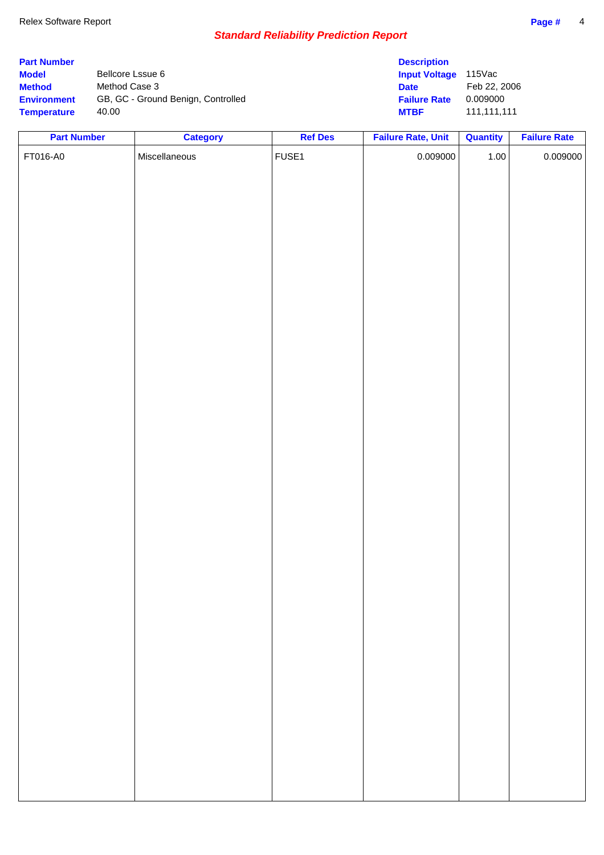| <b>Part Number</b> |                                    | <b>Description</b>   |              |
|--------------------|------------------------------------|----------------------|--------------|
| <b>Model</b>       | Bellcore Lssue 6                   | <b>Input Voltage</b> | 115Vac       |
| <b>Method</b>      | Method Case 3                      | <b>Date</b>          | Feb 22, 2006 |
| <b>Environment</b> | GB, GC - Ground Benign, Controlled | <b>Failure Rate</b>  | 0.009000     |
| <b>Temperature</b> | 40.00                              | <b>MTBF</b>          | 111.111.111  |

| <b>Part Number</b> | <b>Category</b> | <b>Ref Des</b> | <b>Failure Rate, Unit</b> | <b>Quantity</b> | <b>Failure Rate</b> |
|--------------------|-----------------|----------------|---------------------------|-----------------|---------------------|
| FT016-A0           | Miscellaneous   | FUSE1          | 0.009000                  | $1.00$          | 0.009000            |
|                    |                 |                |                           |                 |                     |
|                    |                 |                |                           |                 |                     |
|                    |                 |                |                           |                 |                     |
|                    |                 |                |                           |                 |                     |
|                    |                 |                |                           |                 |                     |
|                    |                 |                |                           |                 |                     |
|                    |                 |                |                           |                 |                     |
|                    |                 |                |                           |                 |                     |
|                    |                 |                |                           |                 |                     |
|                    |                 |                |                           |                 |                     |
|                    |                 |                |                           |                 |                     |
|                    |                 |                |                           |                 |                     |
|                    |                 |                |                           |                 |                     |
|                    |                 |                |                           |                 |                     |
|                    |                 |                |                           |                 |                     |
|                    |                 |                |                           |                 |                     |
|                    |                 |                |                           |                 |                     |
|                    |                 |                |                           |                 |                     |
|                    |                 |                |                           |                 |                     |
|                    |                 |                |                           |                 |                     |
|                    |                 |                |                           |                 |                     |
|                    |                 |                |                           |                 |                     |
|                    |                 |                |                           |                 |                     |
|                    |                 |                |                           |                 |                     |
|                    |                 |                |                           |                 |                     |
|                    |                 |                |                           |                 |                     |
|                    |                 |                |                           |                 |                     |
|                    |                 |                |                           |                 |                     |
|                    |                 |                |                           |                 |                     |
|                    |                 |                |                           |                 |                     |
|                    |                 |                |                           |                 |                     |
|                    |                 |                |                           |                 |                     |
|                    |                 |                |                           |                 |                     |
|                    |                 |                |                           |                 |                     |
|                    |                 |                |                           |                 |                     |
|                    |                 |                |                           |                 |                     |
|                    |                 |                |                           |                 |                     |
|                    |                 |                |                           |                 |                     |
|                    |                 |                |                           |                 |                     |
|                    |                 |                |                           |                 |                     |
|                    |                 |                |                           |                 |                     |
|                    |                 |                |                           |                 |                     |
|                    |                 |                |                           |                 |                     |
|                    |                 |                |                           |                 |                     |
|                    |                 |                |                           |                 |                     |
|                    |                 |                |                           |                 |                     |
|                    |                 |                |                           |                 |                     |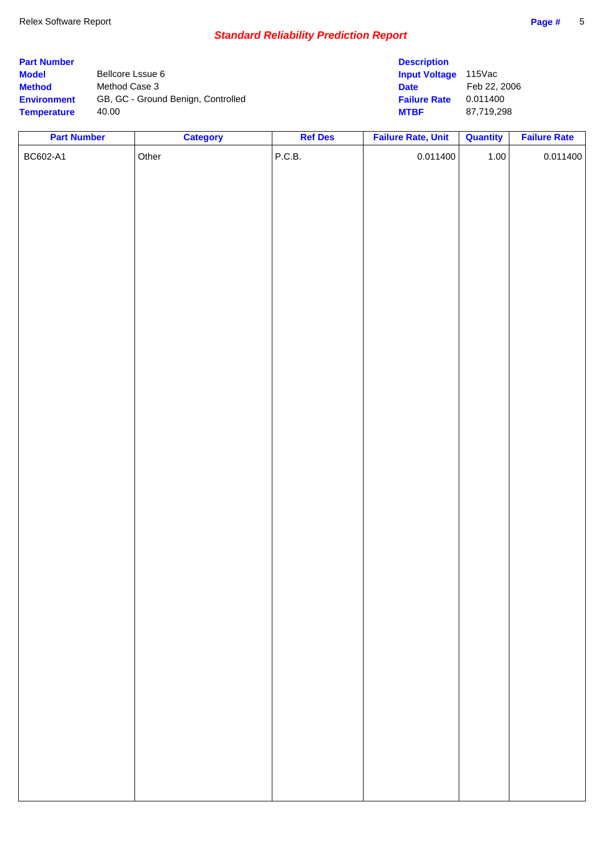| <b>Part Number</b> |                                    | <b>Description</b>   |              |
|--------------------|------------------------------------|----------------------|--------------|
| <b>Model</b>       | Bellcore Lssue 6                   | <b>Input Voltage</b> | 115Vac       |
| <b>Method</b>      | Method Case 3                      | <b>Date</b>          | Feb 22, 2006 |
| <b>Environment</b> | GB, GC - Ground Benign, Controlled | <b>Failure Rate</b>  | 0.011400     |
| <b>Temperature</b> | 40.00                              | <b>MTBF</b>          | 87,719,298   |

| <b>Part Number</b> | <b>Category</b> | <b>Ref Des</b> | <b>Failure Rate, Unit</b> | <b>Quantity</b> | <b>Failure Rate</b> |
|--------------------|-----------------|----------------|---------------------------|-----------------|---------------------|
| BC602-A1           | Other           | P.C.B.         | 0.011400                  | $1.00$          | 0.011400            |
|                    |                 |                |                           |                 |                     |
|                    |                 |                |                           |                 |                     |
|                    |                 |                |                           |                 |                     |
|                    |                 |                |                           |                 |                     |
|                    |                 |                |                           |                 |                     |
|                    |                 |                |                           |                 |                     |
|                    |                 |                |                           |                 |                     |
|                    |                 |                |                           |                 |                     |
|                    |                 |                |                           |                 |                     |
|                    |                 |                |                           |                 |                     |
|                    |                 |                |                           |                 |                     |
|                    |                 |                |                           |                 |                     |
|                    |                 |                |                           |                 |                     |
|                    |                 |                |                           |                 |                     |
|                    |                 |                |                           |                 |                     |
|                    |                 |                |                           |                 |                     |
|                    |                 |                |                           |                 |                     |
|                    |                 |                |                           |                 |                     |
|                    |                 |                |                           |                 |                     |
|                    |                 |                |                           |                 |                     |
|                    |                 |                |                           |                 |                     |
|                    |                 |                |                           |                 |                     |
|                    |                 |                |                           |                 |                     |
|                    |                 |                |                           |                 |                     |
|                    |                 |                |                           |                 |                     |
|                    |                 |                |                           |                 |                     |
|                    |                 |                |                           |                 |                     |
|                    |                 |                |                           |                 |                     |
|                    |                 |                |                           |                 |                     |
|                    |                 |                |                           |                 |                     |
|                    |                 |                |                           |                 |                     |
|                    |                 |                |                           |                 |                     |
|                    |                 |                |                           |                 |                     |
|                    |                 |                |                           |                 |                     |
|                    |                 |                |                           |                 |                     |
|                    |                 |                |                           |                 |                     |
|                    |                 |                |                           |                 |                     |
|                    |                 |                |                           |                 |                     |
|                    |                 |                |                           |                 |                     |
|                    |                 |                |                           |                 |                     |
|                    |                 |                |                           |                 |                     |
|                    |                 |                |                           |                 |                     |
|                    |                 |                |                           |                 |                     |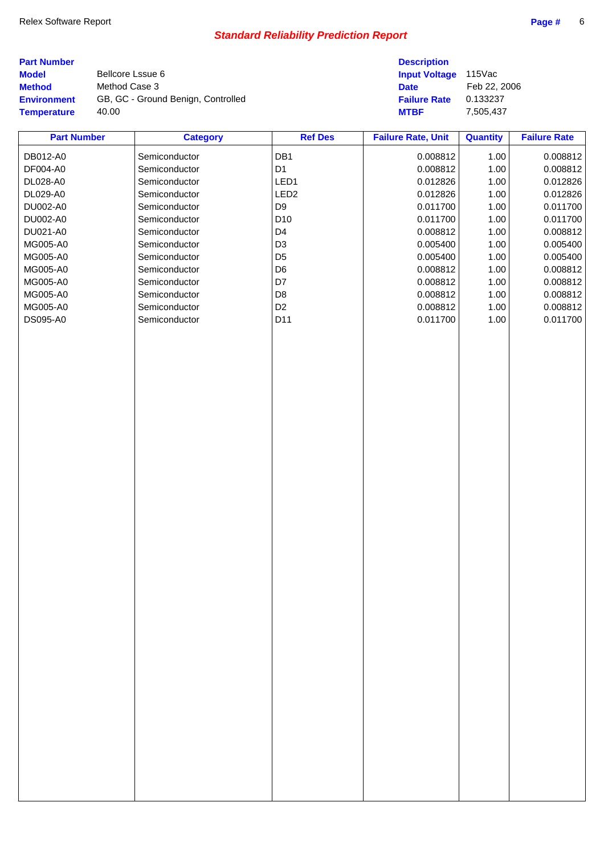| Page |
|------|
|      |

| <b>Part Number</b><br><b>Model</b><br><b>Method</b><br><b>Environment</b> | Method Case 3 | Bellcore Lssue 6<br>GB, GC - Ground Benign, Controlled |                  | <b>Description</b><br><b>Input Voltage</b><br><b>Date</b><br><b>Failure Rate</b> | $115$ Vac<br>Feb 22, 2006<br>0.133237 |                     |
|---------------------------------------------------------------------------|---------------|--------------------------------------------------------|------------------|----------------------------------------------------------------------------------|---------------------------------------|---------------------|
| <b>Temperature</b>                                                        | 40.00         |                                                        |                  | <b>MTBF</b>                                                                      | 7,505,437                             |                     |
| <b>Part Number</b>                                                        |               | <b>Category</b>                                        | <b>Ref Des</b>   | <b>Failure Rate, Unit</b>                                                        | <b>Quantity</b>                       | <b>Failure Rate</b> |
| DB012-A0                                                                  |               | Semiconductor                                          | DB <sub>1</sub>  | 0.008812                                                                         | 1.00                                  | 0.008812            |
| DF004-A0                                                                  |               | Semiconductor                                          | D <sub>1</sub>   | 0.008812                                                                         | 1.00                                  | 0.008812            |
| DL028-A0                                                                  |               | Semiconductor                                          | LED <sub>1</sub> | 0.012826                                                                         | 1.00                                  | 0.012826            |
| DL029-A0                                                                  |               | Semiconductor                                          | LED <sub>2</sub> | 0.012826                                                                         | 1.00                                  | 0.012826            |

| DL029-A0 | Semiconductor | LED <sub>2</sub> | 0.012826 | 1.00 | 0.012826 |
|----------|---------------|------------------|----------|------|----------|
| DU002-A0 | Semiconductor | D <sub>9</sub>   | 0.011700 | 1.00 | 0.011700 |
| DU002-A0 | Semiconductor | D10              | 0.011700 | 1.00 | 0.011700 |
| DU021-A0 | Semiconductor | D <sub>4</sub>   | 0.008812 | 1.00 | 0.008812 |
| MG005-A0 | Semiconductor | D <sub>3</sub>   | 0.005400 | 1.00 | 0.005400 |
| MG005-A0 | Semiconductor | D <sub>5</sub>   | 0.005400 | 1.00 | 0.005400 |
| MG005-A0 | Semiconductor | D <sub>6</sub>   | 0.008812 | 1.00 | 0.008812 |
| MG005-A0 | Semiconductor | D7               | 0.008812 | 1.00 | 0.008812 |
| MG005-A0 | Semiconductor | D <sub>8</sub>   | 0.008812 | 1.00 | 0.008812 |
| MG005-A0 | Semiconductor | D <sub>2</sub>   | 0.008812 | 1.00 | 0.008812 |
| DS095-A0 | Semiconductor | D11              | 0.011700 | 1.00 | 0.011700 |
|          |               |                  |          |      |          |
|          |               |                  |          |      |          |
|          |               |                  |          |      |          |
|          |               |                  |          |      |          |
|          |               |                  |          |      |          |
|          |               |                  |          |      |          |
|          |               |                  |          |      |          |
|          |               |                  |          |      |          |
|          |               |                  |          |      |          |
|          |               |                  |          |      |          |
|          |               |                  |          |      |          |
|          |               |                  |          |      |          |
|          |               |                  |          |      |          |
|          |               |                  |          |      |          |
|          |               |                  |          |      |          |
|          |               |                  |          |      |          |
|          |               |                  |          |      |          |
|          |               |                  |          |      |          |
|          |               |                  |          |      |          |
|          |               |                  |          |      |          |
|          |               |                  |          |      |          |
|          |               |                  |          |      |          |
|          |               |                  |          |      |          |
|          |               |                  |          |      |          |
|          |               |                  |          |      |          |
|          |               |                  |          |      |          |
|          |               |                  |          |      |          |
|          |               |                  |          |      |          |
|          |               |                  |          |      |          |
|          |               |                  |          |      |          |
|          |               |                  |          |      |          |
|          |               |                  |          |      |          |
|          |               |                  |          |      |          |
|          |               |                  |          |      |          |
|          |               |                  |          |      |          |
|          |               |                  |          |      |          |
|          |               |                  |          |      |          |
|          |               |                  |          |      |          |
|          |               |                  |          |      |          |
|          |               |                  |          |      |          |
|          |               |                  |          |      |          |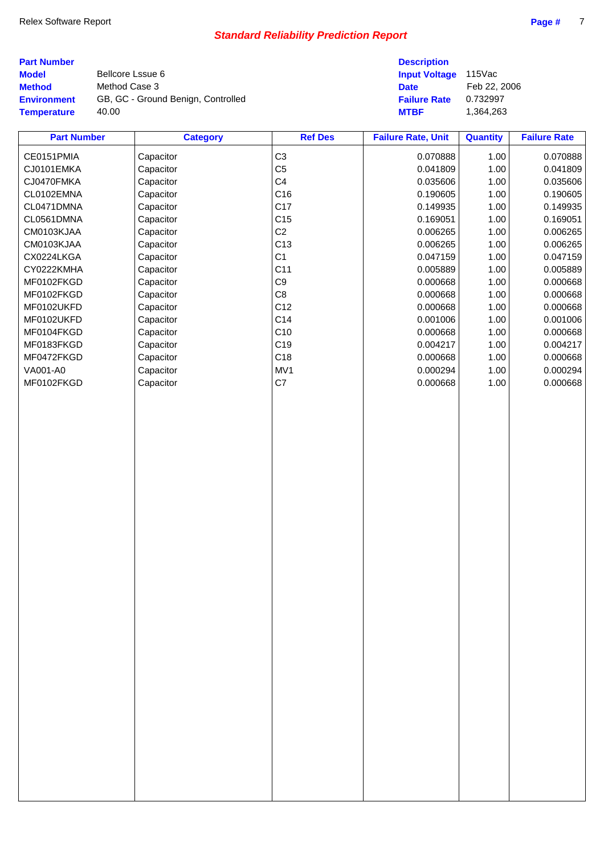| <b>Part Number</b> |                                    | <b>Description</b>          |              |
|--------------------|------------------------------------|-----------------------------|--------------|
| <b>Model</b>       | Bellcore Lssue 6                   | <b>Input Voltage</b> 115Vac |              |
| <b>Method</b>      | Method Case 3                      | <b>Date</b>                 | Feb 22, 2006 |
| <b>Environment</b> | GB, GC - Ground Benign, Controlled | <b>Failure Rate</b>         | 0.732997     |
| <b>Temperature</b> | 40.00                              | <b>MTBF</b>                 | 1.364.263    |

| <b>Part Number</b> | <b>Category</b> | <b>Ref Des</b>  | <b>Failure Rate, Unit</b> | <b>Quantity</b> | <b>Failure Rate</b> |
|--------------------|-----------------|-----------------|---------------------------|-----------------|---------------------|
| CE0151PMIA         | Capacitor       | C <sub>3</sub>  | 0.070888                  | 1.00            | 0.070888            |
| CJ0101EMKA         | Capacitor       | C <sub>5</sub>  | 0.041809                  | 1.00            | 0.041809            |
| CJ0470FMKA         | Capacitor       | C4              | 0.035606                  | 1.00            | 0.035606            |
| CL0102EMNA         | Capacitor       | C16             | 0.190605                  | 1.00            | 0.190605            |
| CL0471DMNA         | Capacitor       | C17             | 0.149935                  | 1.00            | 0.149935            |
| CL0561DMNA         | Capacitor       | C <sub>15</sub> | 0.169051                  | 1.00            | 0.169051            |
| CM0103KJAA         | Capacitor       | C <sub>2</sub>  | 0.006265                  | 1.00            | 0.006265            |
| CM0103KJAA         | Capacitor       | C <sub>13</sub> | 0.006265                  | 1.00            | 0.006265            |
| CX0224LKGA         | Capacitor       | C <sub>1</sub>  | 0.047159                  | 1.00            | 0.047159            |
| CY0222KMHA         | Capacitor       | C11             | 0.005889                  | 1.00            | 0.005889            |
| MF0102FKGD         | Capacitor       | C <sub>9</sub>  | 0.000668                  | 1.00            | 0.000668            |
| MF0102FKGD         | Capacitor       | C <sub>8</sub>  | 0.000668                  | 1.00            | 0.000668            |
| MF0102UKFD         | Capacitor       | C12             | 0.000668                  | 1.00            | 0.000668            |
| MF0102UKFD         | Capacitor       | C14             | 0.001006                  | 1.00            | 0.001006            |
| MF0104FKGD         | Capacitor       | C10             | 0.000668                  | 1.00            | 0.000668            |
| MF0183FKGD         | Capacitor       | C19             | 0.004217                  | 1.00            | 0.004217            |
| MF0472FKGD         | Capacitor       | C18             | 0.000668                  | 1.00            | 0.000668            |
| VA001-A0           | Capacitor       | MV1             | 0.000294                  | 1.00            | 0.000294            |
| MF0102FKGD         | Capacitor       | C7              | 0.000668                  | 1.00            | 0.000668            |
|                    |                 |                 |                           |                 |                     |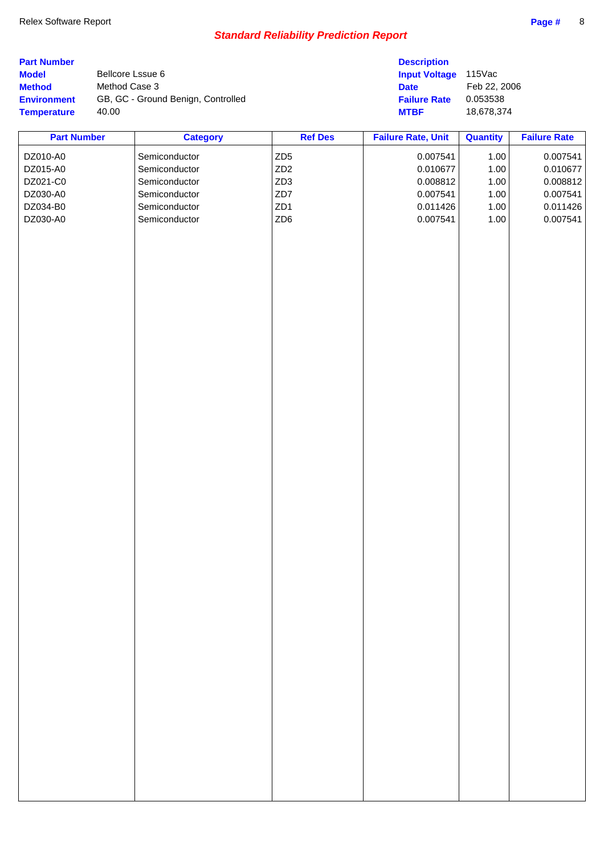| <b>Part Number</b><br><b>Model</b><br><b>Method</b><br><b>Environment</b><br><b>Temperature</b> | Bellcore Lssue 6<br>Method Case 3<br>40.00 | GB, GC - Ground Benign, Controlled                                                                 |                                                                                        | <b>Description</b><br><b>Input Voltage</b><br><b>Date</b><br><b>Failure Rate</b><br><b>MTBF</b> | 115Vac<br>Feb 22, 2006<br>0.053538<br>18,678,374 |                                                                      |
|-------------------------------------------------------------------------------------------------|--------------------------------------------|----------------------------------------------------------------------------------------------------|----------------------------------------------------------------------------------------|-------------------------------------------------------------------------------------------------|--------------------------------------------------|----------------------------------------------------------------------|
| <b>Part Number</b>                                                                              |                                            | <b>Category</b>                                                                                    | <b>Ref Des</b>                                                                         | <b>Failure Rate, Unit</b>                                                                       | <b>Quantity</b>                                  | <b>Failure Rate</b>                                                  |
| DZ010-A0<br>DZ015-A0<br>DZ021-C0<br>DZ030-A0<br>DZ034-B0<br>DZ030-A0                            |                                            | Semiconductor<br>Semiconductor<br>Semiconductor<br>Semiconductor<br>Semiconductor<br>Semiconductor | ZD <sub>5</sub><br>ZD <sub>2</sub><br>ZD <sub>3</sub><br>ZD7<br>ZD1<br>ZD <sub>6</sub> | 0.007541<br>0.010677<br>0.008812<br>0.007541<br>0.011426<br>0.007541                            | 1.00<br>1.00<br>1.00<br>1.00<br>1.00<br>1.00     | 0.007541<br>0.010677<br>0.008812<br>0.007541<br>0.011426<br>0.007541 |
|                                                                                                 |                                            |                                                                                                    |                                                                                        |                                                                                                 |                                                  |                                                                      |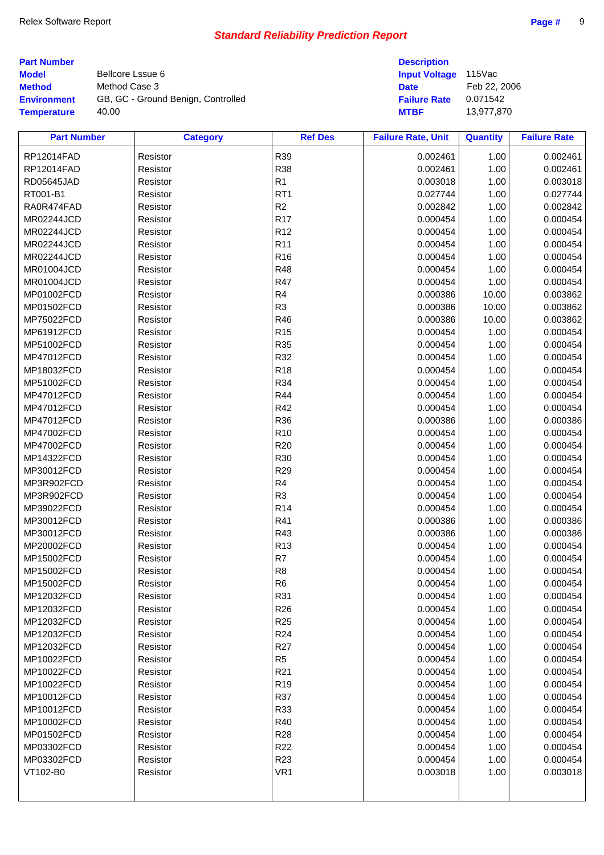| <b>Part Number</b> | <b>Description</b> |
|--------------------|--------------------|
|--------------------|--------------------|

**Model** Bellcore Lssue 6 **Method** Method Case 3 **Date** Feb 22, 2006 **Environment** GB, GC - Ground Benign, Controlled **Temperature** 40.00 **MTBF** 13,977,870

| <b>Description</b>   |             |
|----------------------|-------------|
| <b>Input Voltage</b> | $115$ Vac   |
| Date                 | Feb 22, 200 |
| Failure Rate         | 0.071542    |
| MTRF                 | 13 977 870  |

| <b>Part Number</b> | <b>Category</b> | <b>Ref Des</b>  | <b>Failure Rate, Unit</b> | <b>Quantity</b> | <b>Failure Rate</b> |
|--------------------|-----------------|-----------------|---------------------------|-----------------|---------------------|
| RP12014FAD         | Resistor        | R39             | 0.002461                  | 1.00            | 0.002461            |
| RP12014FAD         | Resistor        | <b>R38</b>      | 0.002461                  | 1.00            | 0.002461            |
| RD05645JAD         | Resistor        | R1              | 0.003018                  | 1.00            | 0.003018            |
| RT001-B1           | Resistor        | RT <sub>1</sub> | 0.027744                  | 1.00            | 0.027744            |
| RA0R474FAD         | Resistor        | R2              | 0.002842                  | 1.00            | 0.002842            |
| MR02244JCD         | Resistor        | <b>R17</b>      | 0.000454                  | 1.00            | 0.000454            |
| MR02244JCD         | Resistor        | R <sub>12</sub> | 0.000454                  | 1.00            | 0.000454            |
| MR02244JCD         | Resistor        | R <sub>11</sub> | 0.000454                  | 1.00            | 0.000454            |
| MR02244JCD         | Resistor        | R <sub>16</sub> | 0.000454                  | 1.00            | 0.000454            |
| MR01004JCD         | Resistor        | <b>R48</b>      | 0.000454                  | 1.00            | 0.000454            |
| <b>MR01004JCD</b>  | Resistor        | R47             | 0.000454                  | 1.00            | 0.000454            |
| MP01002FCD         | Resistor        | R4              | 0.000386                  | 10.00           | 0.003862            |
| MP01502FCD         | Resistor        | R <sub>3</sub>  | 0.000386                  | 10.00           | 0.003862            |
| MP75022FCD         | Resistor        | R46             | 0.000386                  | 10.00           | 0.003862            |
| MP61912FCD         | Resistor        | R <sub>15</sub> | 0.000454                  | 1.00            | 0.000454            |
| MP51002FCD         | Resistor        | <b>R35</b>      | 0.000454                  | 1.00            | 0.000454            |
| MP47012FCD         | Resistor        | R32             | 0.000454                  | 1.00            | 0.000454            |
| MP18032FCD         | Resistor        | R <sub>18</sub> | 0.000454                  | 1.00            | 0.000454            |
| MP51002FCD         | Resistor        | R34             | 0.000454                  | 1.00            | 0.000454            |
| MP47012FCD         | Resistor        | <b>R44</b>      | 0.000454                  | 1.00            | 0.000454            |
| MP47012FCD         | Resistor        | R42             | 0.000454                  | 1.00            | 0.000454            |
| MP47012FCD         | Resistor        | R36             | 0.000386                  | 1.00            | 0.000386            |
| MP47002FCD         | Resistor        | R <sub>10</sub> | 0.000454                  | 1.00            | 0.000454            |
| MP47002FCD         | Resistor        | R <sub>20</sub> | 0.000454                  | 1.00            | 0.000454            |
| MP14322FCD         | Resistor        | R30             | 0.000454                  | 1.00            | 0.000454            |
| MP30012FCD         | Resistor        | R <sub>29</sub> | 0.000454                  | 1.00            | 0.000454            |
| MP3R902FCD         | Resistor        | R4              | 0.000454                  | 1.00            | 0.000454            |
| MP3R902FCD         | Resistor        | R <sub>3</sub>  | 0.000454                  | 1.00            | 0.000454            |
| MP39022FCD         | Resistor        | R <sub>14</sub> | 0.000454                  | 1.00            | 0.000454            |
| MP30012FCD         | Resistor        | R41             | 0.000386                  | 1.00            | 0.000386            |
| MP30012FCD         | Resistor        | R43             | 0.000386                  | 1.00            | 0.000386            |
| MP20002FCD         | Resistor        | R <sub>13</sub> | 0.000454                  | 1.00            | 0.000454            |
| MP15002FCD         | Resistor        | R7              | 0.000454                  | 1.00            | 0.000454            |
| MP15002FCD         | Resistor        | R <sub>8</sub>  | 0.000454                  | 1.00            | 0.000454            |
| MP15002FCD         | Resistor        | R <sub>6</sub>  | 0.000454                  | 1.00            | 0.000454            |
| MP12032FCD         | Resistor        | R31             | 0.000454                  | 1.00            | 0.000454            |
| MP12032FCD         | Resistor        | R <sub>26</sub> | 0.000454                  | 1.00            | 0.000454            |
| MP12032FCD         | Resistor        | R <sub>25</sub> | 0.000454                  | 1.00            | 0.000454            |
| MP12032FCD         | Resistor        | R <sub>24</sub> | 0.000454                  | 1.00            | 0.000454            |
| MP12032FCD         | Resistor        | R <sub>27</sub> | 0.000454                  | 1.00            | 0.000454            |
| MP10022FCD         | Resistor        | R <sub>5</sub>  | 0.000454                  | 1.00            | 0.000454            |
| MP10022FCD         | Resistor        | R <sub>21</sub> | 0.000454                  | 1.00            | 0.000454            |
| MP10022FCD         | Resistor        | R <sub>19</sub> | 0.000454                  | 1.00            | 0.000454            |
| MP10012FCD         | Resistor        | R37             | 0.000454                  | 1.00            | 0.000454            |
| MP10012FCD         | Resistor        | R33             | 0.000454                  | 1.00            | 0.000454            |
| MP10002FCD         | Resistor        | R40             | 0.000454                  | 1.00            | 0.000454            |
| MP01502FCD         | Resistor        | R <sub>28</sub> | 0.000454                  | 1.00            | 0.000454            |
| MP03302FCD         | Resistor        | R <sub>22</sub> | 0.000454                  | 1.00            | 0.000454            |
| MP03302FCD         | Resistor        | R <sub>23</sub> | 0.000454                  | 1.00            | 0.000454            |
| VT102-B0           | Resistor        | VR <sub>1</sub> | 0.003018                  | 1.00            | 0.003018            |
|                    |                 |                 |                           |                 |                     |
|                    |                 |                 |                           |                 |                     |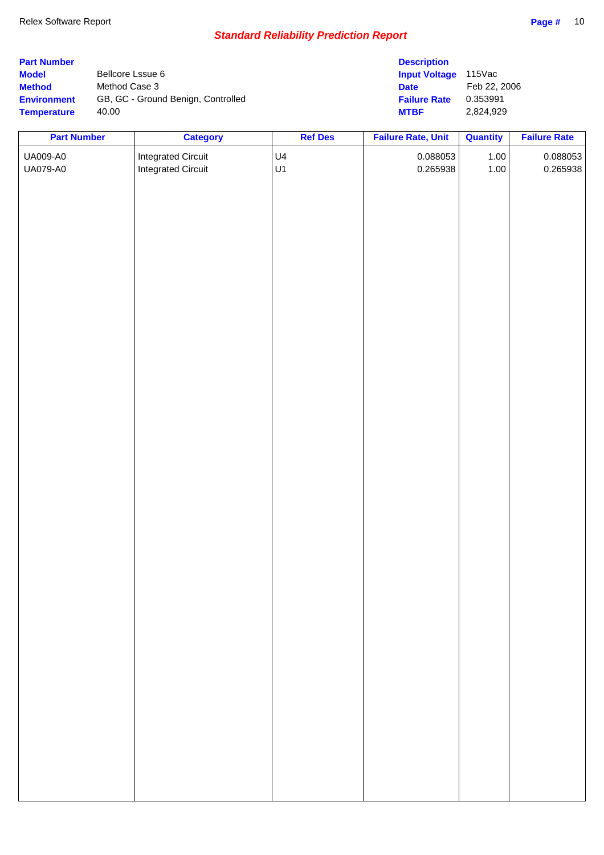| <b>Part Number</b> |                                    | <b>Description</b>   |              |
|--------------------|------------------------------------|----------------------|--------------|
| <b>Model</b>       | Bellcore Lssue 6                   | <b>Input Voltage</b> | 115Vac       |
| <b>Method</b>      | Method Case 3                      | <b>Date</b>          | Feb 22, 2006 |
| <b>Environment</b> | GB, GC - Ground Benign, Controlled | <b>Failure Rate</b>  | 0.353991     |
| <b>Temperature</b> | 40.00                              | <b>MTBF</b>          | 2.824.929    |

| <b>Part Number</b> | <b>Category</b>           | <b>Ref Des</b> | <b>Failure Rate, Unit</b> | Quantity | <b>Failure Rate</b> |
|--------------------|---------------------------|----------------|---------------------------|----------|---------------------|
| UA009-A0           | <b>Integrated Circuit</b> | U4             | 0.088053                  | 1.00     | 0.088053            |
| UA079-A0           | <b>Integrated Circuit</b> | U1             | 0.265938                  | 1.00     | 0.265938            |
|                    |                           |                |                           |          |                     |
|                    |                           |                |                           |          |                     |
|                    |                           |                |                           |          |                     |
|                    |                           |                |                           |          |                     |
|                    |                           |                |                           |          |                     |
|                    |                           |                |                           |          |                     |
|                    |                           |                |                           |          |                     |
|                    |                           |                |                           |          |                     |
|                    |                           |                |                           |          |                     |
|                    |                           |                |                           |          |                     |
|                    |                           |                |                           |          |                     |
|                    |                           |                |                           |          |                     |
|                    |                           |                |                           |          |                     |
|                    |                           |                |                           |          |                     |
|                    |                           |                |                           |          |                     |
|                    |                           |                |                           |          |                     |
|                    |                           |                |                           |          |                     |
|                    |                           |                |                           |          |                     |
|                    |                           |                |                           |          |                     |
|                    |                           |                |                           |          |                     |
|                    |                           |                |                           |          |                     |
|                    |                           |                |                           |          |                     |
|                    |                           |                |                           |          |                     |
|                    |                           |                |                           |          |                     |
|                    |                           |                |                           |          |                     |
|                    |                           |                |                           |          |                     |
|                    |                           |                |                           |          |                     |
|                    |                           |                |                           |          |                     |
|                    |                           |                |                           |          |                     |
|                    |                           |                |                           |          |                     |
|                    |                           |                |                           |          |                     |
|                    |                           |                |                           |          |                     |
|                    |                           |                |                           |          |                     |
|                    |                           |                |                           |          |                     |
|                    |                           |                |                           |          |                     |
|                    |                           |                |                           |          |                     |
|                    |                           |                |                           |          |                     |
|                    |                           |                |                           |          |                     |
|                    |                           |                |                           |          |                     |
|                    |                           |                |                           |          |                     |
|                    |                           |                |                           |          |                     |
|                    |                           |                |                           |          |                     |
|                    |                           |                |                           |          |                     |
|                    |                           |                |                           |          |                     |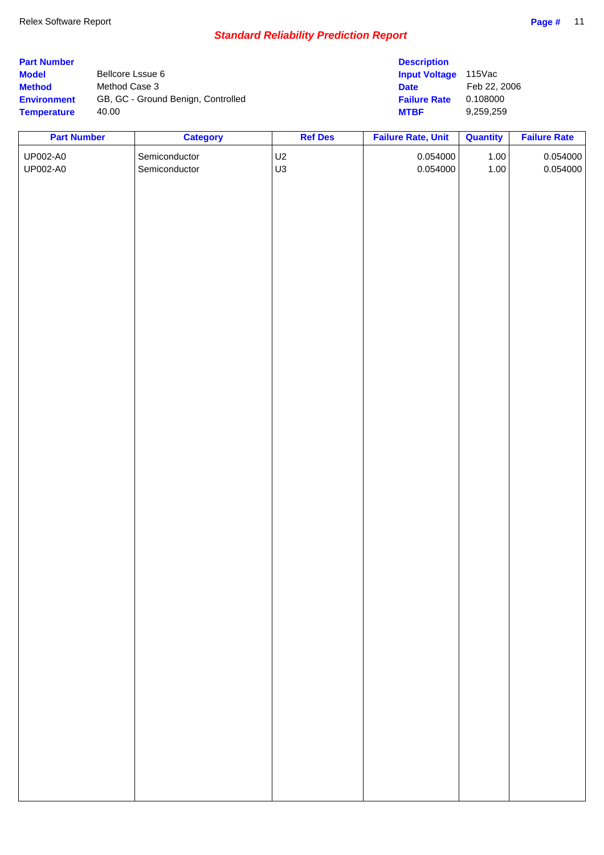|                                    | <b>Description</b>   |              |
|------------------------------------|----------------------|--------------|
| Bellcore Lssue 6                   | <b>Input Voltage</b> | 115Vac       |
| Method Case 3                      | <b>Date</b>          | Feb 22, 2006 |
| GB, GC - Ground Benign, Controlled | <b>Failure Rate</b>  | 0.108000     |
| 40.00                              | <b>MTBF</b>          | 9.259.259    |
|                                    |                      |              |

| <b>Part Number</b> | <b>Category</b> | <b>Ref Des</b> | <b>Failure Rate, Unit</b> | <b>Quantity</b> | <b>Failure Rate</b> |
|--------------------|-----------------|----------------|---------------------------|-----------------|---------------------|
| UP002-A0           | Semiconductor   | U2             | 0.054000                  | $1.00\,$        | 0.054000            |
| UP002-A0           | Semiconductor   | U3             | 0.054000                  | 1.00            | 0.054000            |
|                    |                 |                |                           |                 |                     |
|                    |                 |                |                           |                 |                     |
|                    |                 |                |                           |                 |                     |
|                    |                 |                |                           |                 |                     |
|                    |                 |                |                           |                 |                     |
|                    |                 |                |                           |                 |                     |
|                    |                 |                |                           |                 |                     |
|                    |                 |                |                           |                 |                     |
|                    |                 |                |                           |                 |                     |
|                    |                 |                |                           |                 |                     |
|                    |                 |                |                           |                 |                     |
|                    |                 |                |                           |                 |                     |
|                    |                 |                |                           |                 |                     |
|                    |                 |                |                           |                 |                     |
|                    |                 |                |                           |                 |                     |
|                    |                 |                |                           |                 |                     |
|                    |                 |                |                           |                 |                     |
|                    |                 |                |                           |                 |                     |
|                    |                 |                |                           |                 |                     |
|                    |                 |                |                           |                 |                     |
|                    |                 |                |                           |                 |                     |
|                    |                 |                |                           |                 |                     |
|                    |                 |                |                           |                 |                     |
|                    |                 |                |                           |                 |                     |
|                    |                 |                |                           |                 |                     |
|                    |                 |                |                           |                 |                     |
|                    |                 |                |                           |                 |                     |
|                    |                 |                |                           |                 |                     |
|                    |                 |                |                           |                 |                     |
|                    |                 |                |                           |                 |                     |
|                    |                 |                |                           |                 |                     |
|                    |                 |                |                           |                 |                     |
|                    |                 |                |                           |                 |                     |
|                    |                 |                |                           |                 |                     |
|                    |                 |                |                           |                 |                     |
|                    |                 |                |                           |                 |                     |
|                    |                 |                |                           |                 |                     |
|                    |                 |                |                           |                 |                     |
|                    |                 |                |                           |                 |                     |
|                    |                 |                |                           |                 |                     |
|                    |                 |                |                           |                 |                     |
|                    |                 |                |                           |                 |                     |
|                    |                 |                |                           |                 |                     |
|                    |                 |                |                           |                 |                     |
|                    |                 |                |                           |                 |                     |
|                    |                 |                |                           |                 |                     |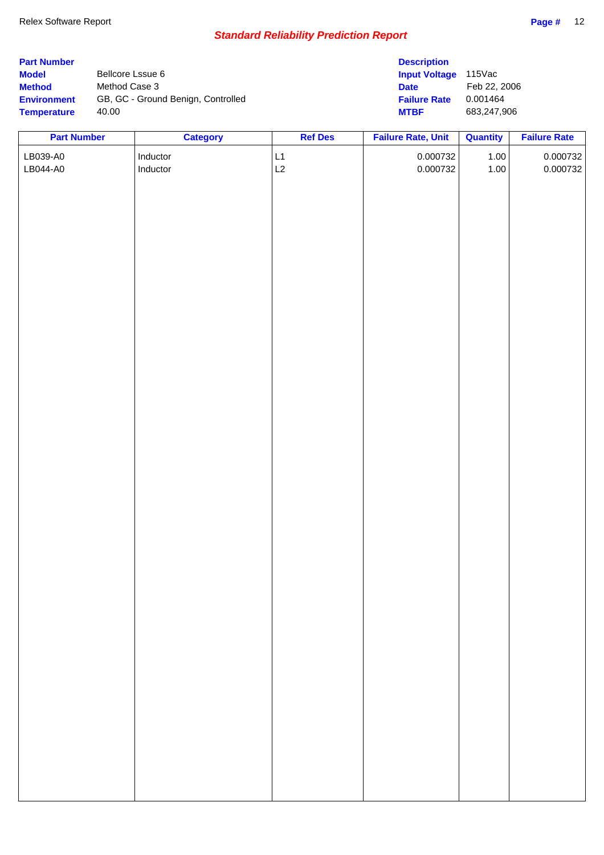| <b>Part Number</b> |                                    | <b>Description</b>   |              |
|--------------------|------------------------------------|----------------------|--------------|
| <b>Model</b>       | Bellcore Lssue 6                   | <b>Input Voltage</b> | $115$ Vac    |
| <b>Method</b>      | Method Case 3                      | <b>Date</b>          | Feb 22, 2006 |
| <b>Environment</b> | GB, GC - Ground Benign, Controlled | <b>Failure Rate</b>  | 0.001464     |
| <b>Temperature</b> | 40.00                              | <b>MTBF</b>          | 683,247,906  |

| <b>Part Number</b> | <b>Category</b> | <b>Ref Des</b> | <b>Failure Rate, Unit</b> | <b>Quantity</b> | <b>Failure Rate</b> |
|--------------------|-----------------|----------------|---------------------------|-----------------|---------------------|
| LB039-A0           | Inductor        |                | 0.000732                  | $1.00$          | 0.000732            |
| LB044-A0           | Inductor        | $L1$<br>$L2$   | 0.000732                  | 1.00            | 0.000732            |
|                    |                 |                |                           |                 |                     |
|                    |                 |                |                           |                 |                     |
|                    |                 |                |                           |                 |                     |
|                    |                 |                |                           |                 |                     |
|                    |                 |                |                           |                 |                     |
|                    |                 |                |                           |                 |                     |
|                    |                 |                |                           |                 |                     |
|                    |                 |                |                           |                 |                     |
|                    |                 |                |                           |                 |                     |
|                    |                 |                |                           |                 |                     |
|                    |                 |                |                           |                 |                     |
|                    |                 |                |                           |                 |                     |
|                    |                 |                |                           |                 |                     |
|                    |                 |                |                           |                 |                     |
|                    |                 |                |                           |                 |                     |
|                    |                 |                |                           |                 |                     |
|                    |                 |                |                           |                 |                     |
|                    |                 |                |                           |                 |                     |
|                    |                 |                |                           |                 |                     |
|                    |                 |                |                           |                 |                     |
|                    |                 |                |                           |                 |                     |
|                    |                 |                |                           |                 |                     |
|                    |                 |                |                           |                 |                     |
|                    |                 |                |                           |                 |                     |
|                    |                 |                |                           |                 |                     |
|                    |                 |                |                           |                 |                     |
|                    |                 |                |                           |                 |                     |
|                    |                 |                |                           |                 |                     |
|                    |                 |                |                           |                 |                     |
|                    |                 |                |                           |                 |                     |
|                    |                 |                |                           |                 |                     |
|                    |                 |                |                           |                 |                     |
|                    |                 |                |                           |                 |                     |
|                    |                 |                |                           |                 |                     |
|                    |                 |                |                           |                 |                     |
|                    |                 |                |                           |                 |                     |
|                    |                 |                |                           |                 |                     |
|                    |                 |                |                           |                 |                     |
|                    |                 |                |                           |                 |                     |
|                    |                 |                |                           |                 |                     |
|                    |                 |                |                           |                 |                     |
|                    |                 |                |                           |                 |                     |
|                    |                 |                |                           |                 |                     |
|                    |                 |                |                           |                 |                     |
|                    |                 |                |                           |                 |                     |
|                    |                 |                |                           |                 |                     |
|                    |                 |                |                           |                 |                     |
|                    |                 |                |                           |                 |                     |